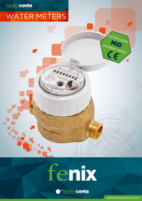## hidroconta

ď

# WATER METERS

fenix

HEERA



www.hidroconta.com

Certification

**MID**

potable water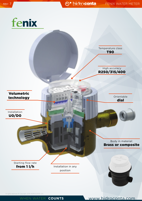

Al rights reserved. © Copyright. 2016 HIDROCONTA. S.A.

WHEN WATER COUNTS WWW.hidroconta.com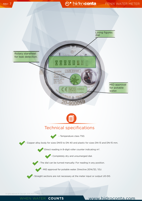### rev: 7 FENIX WATER METER

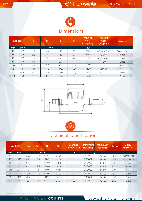## rev: 7 FENIX WATER METER



### Dimensions

| <b>Calibre</b> |             | $\mathsf{h}$ | н   |         | D   | Weight<br>with<br><b>Coupling</b> | Weight<br>with<br><b>Coupling</b> | <b>Material</b> |
|----------------|-------------|--------------|-----|---------|-----|-----------------------------------|-----------------------------------|-----------------|
| mm             | <b>Inch</b> |              | mm  |         |     | Kg                                |                                   |                 |
| 13             | 1/2"        | 28           | 130 | 115     | 97  | 0.66                              | G 7/8" x 3/4"                     | Composite       |
| 15             | 1/2"        | 28           | 130 | 115     | 97  | 0.64                              | $G \frac{3}{4}$                   | Composite       |
| 13             | 1/2"        | 28           | 114 | 115     | 84  | 1,24                              | G 7/8" $\times$ 3/4"              | <b>Brass</b>    |
| 15             | 1/2"        | 28           | 114 | 115/165 | 84  | 1,20                              | G3/4"                             | <b>Brass</b>    |
| 20             | 3/4"        | 55           | 130 | 190     | 90  | 1,30                              | G''                               | <b>Brass</b>    |
| 25             | 111         | 50           | 140 | 260     | 103 | 2,50                              | G11/4"                            | <b>Brass</b>    |
| 32             | $1 - 1/4"$  | 60           | 158 | 260     | 140 | 4,34                              | G11/2"                            | <b>Brass</b>    |
| 40             | $1 - 1/2"$  | 70           | 181 | 300     | 170 | 6,72                              | G2"                               | <b>Brass</b>    |





## Technical specifications

|    | <b>Calibre</b> | $Q_4$   | $Q_3$           | $Q_2$ | $Q_1$ | <b>Starting</b><br><b>Flow Rate</b> | Minimum<br><b>Reading</b> | Maximum<br><b>Reading</b> | <b>Ratio</b> | <b>Body</b><br><b>Marterial</b> |
|----|----------------|---------|-----------------|-------|-------|-------------------------------------|---------------------------|---------------------------|--------------|---------------------------------|
| mm | <b>Inch</b>    | $m^3/h$ |                 |       |       | 1/h                                 | m <sup>3</sup>            |                           |              |                                 |
| 13 | 1/2"           | 3.125   | 2.5             | 0.013 | 0,008 |                                     | 0.00002                   | 99999                     | 315          | Composite                       |
| 15 | 1/2"           | 3.125   | 2,5             | 0.013 | 0.008 |                                     | 0.00002                   | 99 999                    | 315          | Composite                       |
| 13 | 1/2"           | 3.125   | 2,5             | 0.010 | 0.006 |                                     | 0.00002                   | 99 999                    | 400          | <b>Brass</b>                    |
| 15 | 1/2"           | 3.125   | 2,5             | 0.010 | 0,006 |                                     | 0.00002                   | 99 999                    | 400          | <b>Brass</b>                    |
| 20 | 3/4"           | 5       | 4               | 0,016 | 0.010 | 2                                   | 0.00002                   | 99 999                    | 400          | <b>Brass</b>                    |
| 25 | 11             | 7.875   | 6,3             | 0.032 | 0.020 | 5                                   | 0.00002                   | 99 999                    | 315          | <b>Brass</b>                    |
| 32 | $1 - 1/4"$     | 12,5    | 10 <sup>°</sup> | 0.064 | 0.040 | 10                                  | 0.00002                   | 99 999                    | 250          | <b>Brass</b>                    |
| 40 | $1 - 1/2"$     | 20      | 16              | 0,102 | 0.064 | 20                                  | 0.00002                   | 99 999                    | 250          | <b>Brass</b>                    |

Al rights reserved. © Copyright. 2016 HIDROCONTA. S.A.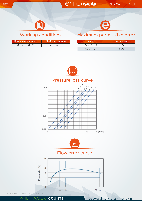### rev: 7 FENIX WATER METER



Room temperature Maximum pressure  $0.1 \degree C \sim 50 \degree C$   $\leq 16 \text{ bar}$ 



### Working conditions Maximum permissible error

| Range               | Error $(\%)$ |
|---------------------|--------------|
| $Q_1 \le Q \le Q_2$ | ±5%          |
| $Q_2 \le Q \le Q_4$ | $+2%$        |



Pressure loss curve





Flow error curve



Al rights reserved. © Copyright. 2016 HIDROCONTA. S.A.

#### WHEN WATER COUNTS WWW.hidroconta.com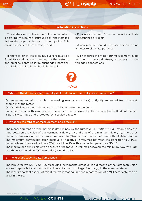#### **Installation instructions**

- The meters must always be full of water when operating, minimum presure 0,3 bar, and installed below the slope of the rest of the pipeline. This stops air pockets from forming inside.

- If there is air in the pipeline, suckers must be fitted to avoid incorrect readings. If the water in the pipeline contains large suspended particles, an initial screening filter should be installed.

- Fit a valve upstream from the meter to facilitate maintenance or repair.

- A new pipeline should be drained before fitting a meter to eliminate particles.

- Do not force the meter during assembly; avoid tension or torsional stress, especially to the threaded connections.



#### 1- Which is the difference between dry dial, wet dial and semi-dry water meter dial?

On water meters with dry dial the reading mechanism (clock) is tightly separated from the wet chamber of the meter.

On Wet dial water meter the watch is totally immersed in the fluid.

For water meters with semi-dry dial, the reading mechanism is totally immersed in the fluid but the dial is partially serrated and protected by a sealed capsule.

#### 2- What are the ranges of measurement and precision?

The measuring range of the meters is determined by the Directive MID 2014/32 / UE establishing the ratio between the value of the permanent flow (Q3) and that of the minimum flow (Q1). The water meter can measure up to the maximum flow rate (Q4) for short periods of time without deterioration. The maximum permissible error, positive or negative, in volumes between the transition flow (Q2) (included) and the overload flow (Q4) would be 2% with a water temperature  $\leq$  30 ° C. The maximum permissible error, positive or negative, in volumes between the minimum flow rate (Q1) and the transition flow (Q2) (excluded) would be 5%.

#### 3- The MID directive and its compliance

The MID Directive (2014/32 / EU Measuring Instruments Directive) is a directive of the European Union whose purpose is to harmonize the different aspects of Legal Metrology in the member states. The most important aspect of this directive is that equipment in possession of a MID certificate can be used in the EU.